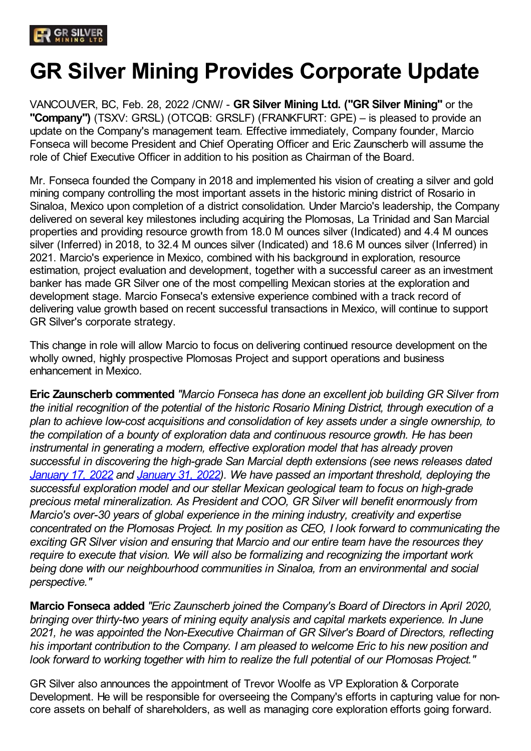# **GR Silver Mining Provides Corporate Update**

VANCOUVER, BC, Feb. 28, 2022 /CNW/ - **GR Silver Mining Ltd. ("GR Silver Mining"** or the **"Company")** (TSXV: GRSL) (OTCQB: GRSLF) (FRANKFURT: GPE) – is pleased to provide an update on the Company's management team. Effective immediately, Company founder, Marcio Fonseca will become President and Chief Operating Officer and Eric Zaunscherb will assume the role of Chief Executive Officer in addition to his position as Chairman of the Board.

Mr. Fonseca founded the Company in 2018 and implemented his vision of creating a silver and gold mining company controlling the most important assets in the historic mining district of Rosario in Sinaloa, Mexico upon completion of a district consolidation. Under Marcio's leadership, the Company delivered on several key milestones including acquiring the Plomosas, La Trinidad and San Marcial properties and providing resource growth from 18.0 M ounces silver (Indicated) and 4.4 M ounces silver (Inferred) in 2018, to 32.4 M ounces silver (Indicated) and 18.6 M ounces silver (Inferred) in 2021. Marcio's experience in Mexico, combined with his background in exploration, resource estimation, project evaluation and development, together with a successful career as an investment banker has made GR Silver one of the most compelling Mexican stories at the exploration and development stage. Marcio Fonseca's extensive experience combined with a track record of delivering value growth based on recent successful transactions in Mexico, will continue to support GR Silver's corporate strategy.

This change in role will allow Marcio to focus on delivering continued resource development on the wholly owned, highly prospective Plomosas Project and support operations and business enhancement in Mexico.

**Eric Zaunscherb commented** *"Marcio Fonseca has done an excellent job building GR Silver from the initial recognition of the potential of the historic Rosario Mining District, through execution of a plan to achieve low-cost acquisitions and consolidation of key assets under a single ownership, to the compilation of a bounty of exploration data and continuous resource growth. He has been instrumental in generating a modern, effective exploration model that has already proven successful in discovering the high-grade San Marcial depth extensions (see news releases dated January 17, 2022 and January 31, 2022). We have passed an important threshold, deploying the successful exploration model and our stellar Mexican geological team to focus on high-grade precious metal mineralization. As President and COO, GR Silver will benefit enormously from Marcio's over-30 years of global experience in the mining industry, creativity and expertise concentrated on the Plomosas Project. In my position as CEO, I look forward to communicating the exciting GR Silver vision and ensuring that Marcio and our entire team have the resources they require to execute that vision. We will also be formalizing and recognizing the important work being done with our neighbourhood communities in Sinaloa, from an environmental and social perspective."*

**Marcio Fonseca added** *"Eric Zaunscherb joined the Company's Board of Directors in April 2020, bringing over thirty-two years of mining equity analysis and capital markets experience. In June 2021, he was appointed the Non-Executive Chairman of GR Silver's Board of Directors, reflecting his important contribution to the Company. I am pleased to welcome Eric to his new position and look forward to working together with him to realize the full potential of our Plomosas Project."*

GR Silver also announces the appointment of Trevor Woolfe as VP Exploration & Corporate Development. He will be responsible for overseeing the Company's efforts in capturing value for noncore assets on behalf of shareholders, as well as managing core exploration efforts going forward.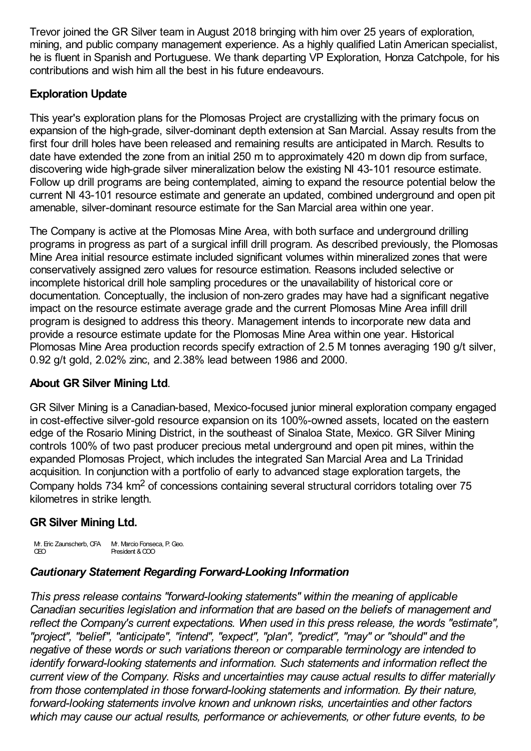Trevor joined the GR Silver team in August 2018 bringing with him over 25 years of exploration, mining, and public company management experience. As a highly qualified Latin American specialist, he is fluent in Spanish and Portuguese. We thank departing VP Exploration, Honza Catchpole, for his contributions and wish him all the best in his future endeavours.

#### **Exploration Update**

This year's exploration plans for the Plomosas Project are crystallizing with the primary focus on expansion of the high-grade, silver-dominant depth extension at San Marcial. Assay results from the first four drill holes have been released and remaining results are anticipated in March. Results to date have extended the zone from an initial 250 m to approximately 420 m down dip from surface, discovering wide high-grade silver mineralization below the existing NI 43-101 resource estimate. Follow up drill programs are being contemplated, aiming to expand the resource potential below the current NI 43-101 resource estimate and generate an updated, combined underground and open pit amenable, silver-dominant resource estimate for the San Marcial area within one year.

The Company is active at the Plomosas Mine Area, with both surface and underground drilling programs in progress as part of a surgical infill drill program. As described previously, the Plomosas Mine Area initial resource estimate included significant volumes within mineralized zones that were conservatively assigned zero values for resource estimation. Reasons included selective or incomplete historical drill hole sampling procedures or the unavailability of historical core or documentation. Conceptually, the inclusion of non-zero grades may have had a significant negative impact on the resource estimate average grade and the current Plomosas Mine Area infill drill program is designed to address this theory. Management intends to incorporate new data and provide a resource estimate update for the Plomosas Mine Area within one year. Historical Plomosas Mine Area production records specify extraction of 2.5 M tonnes averaging 190 g/t silver, 0.92 g/t gold, 2.02% zinc, and 2.38% lead between 1986 and 2000.

## **About GR Silver Mining Ltd**.

GR Silver Mining is a Canadian-based, Mexico-focused junior mineral exploration company engaged in cost-effective silver-gold resource expansion on its 100%-owned assets, located on the eastern edge of the Rosario Mining District, in the southeast of Sinaloa State, Mexico. GR Silver Mining controls 100% of two past producer precious metal underground and open pit mines, within the expanded Plomosas Project, which includes the integrated San Marcial Area and La Trinidad acquisition. In conjunction with a portfolio of early to advanced stage exploration targets, the Company holds 734 km<sup>2</sup> of concessions containing several structural corridors totaling over 75 kilometres in strike length.

## **GR Silver Mining Ltd.**

M. Eric Zaunscherb, CFA Mr. Marcio Fonseca, P. Geo. CEO President & COO

#### *Cautionary Statement Regarding Forward-Looking Information*

*This press release contains "forward-looking statements" within the meaning of applicable Canadian securities legislation and information that are based on the beliefs of management and reflect the Company's current expectations. When used in this press release, the words "estimate", "project", "belief", "anticipate", "intend", "expect", "plan", "predict", "may" or "should" and the negative of these words or such variations thereon or comparable terminology are intended to identify forward-looking statements and information. Such statements and information reflect the current view of the Company. Risks and uncertainties may cause actual results to differ materially from those contemplated in those forward-looking statements and information. By their nature, forward-looking statements involve known and unknown risks, uncertainties and other factors which may cause our actual results, performance or achievements, or other future events, to be*